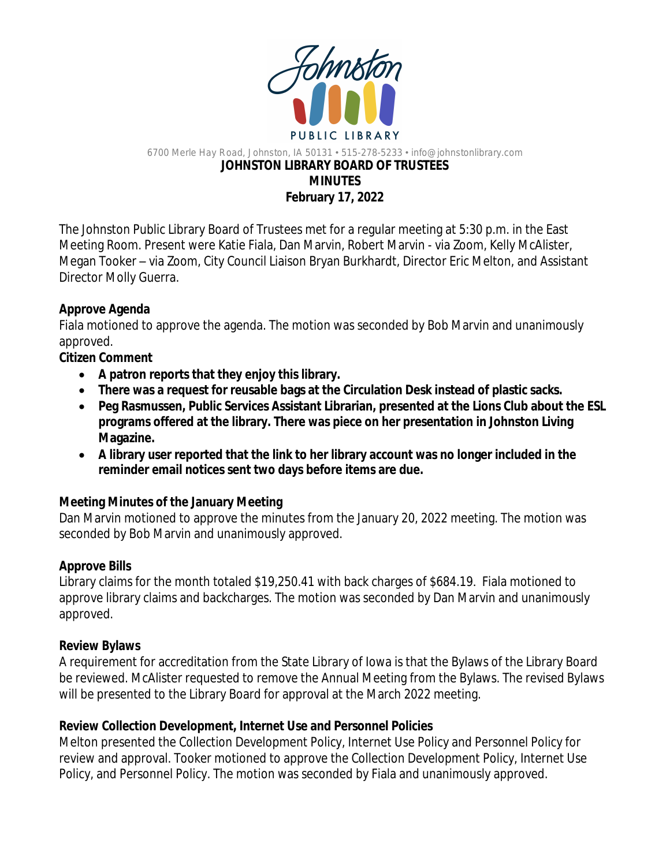

#### 6700 Merle Hay Road, Johnston, IA 50131 • 515-278-5233 • info@johnstonlibrary.com **JOHNSTON LIBRARY BOARD OF TRUSTEES MINUTES February 17, 2022**

The Johnston Public Library Board of Trustees met for a regular meeting at 5:30 p.m. in the East Meeting Room. Present were Katie Fiala, Dan Marvin, Robert Marvin - via Zoom, Kelly McAlister, Megan Tooker – via Zoom, City Council Liaison Bryan Burkhardt, Director Eric Melton, and Assistant Director Molly Guerra.

## **Approve Agenda**

Fiala motioned to approve the agenda. The motion was seconded by Bob Marvin and unanimously approved.

## **Citizen Comment**

- **A patron reports that they enjoy this library.**
- **There was a request for reusable bags at the Circulation Desk instead of plastic sacks.**
- **Peg Rasmussen, Public Services Assistant Librarian, presented at the Lions Club about the ESL programs offered at the library. There was piece on her presentation in Johnston Living Magazine.**
- **A library user reported that the link to her library account was no longer included in the reminder email notices sent two days before items are due.**

## **Meeting Minutes of the January Meeting**

Dan Marvin motioned to approve the minutes from the January 20, 2022 meeting. The motion was seconded by Bob Marvin and unanimously approved.

## **Approve Bills**

Library claims for the month totaled \$19,250.41 with back charges of \$684.19. Fiala motioned to approve library claims and backcharges. The motion was seconded by Dan Marvin and unanimously approved.

## **Review Bylaws**

A requirement for accreditation from the State Library of Iowa is that the Bylaws of the Library Board be reviewed. McAlister requested to remove the Annual Meeting from the Bylaws. The revised Bylaws will be presented to the Library Board for approval at the March 2022 meeting.

# **Review Collection Development, Internet Use and Personnel Policies**

Melton presented the Collection Development Policy, Internet Use Policy and Personnel Policy for review and approval. Tooker motioned to approve the Collection Development Policy, Internet Use Policy, and Personnel Policy. The motion was seconded by Fiala and unanimously approved.